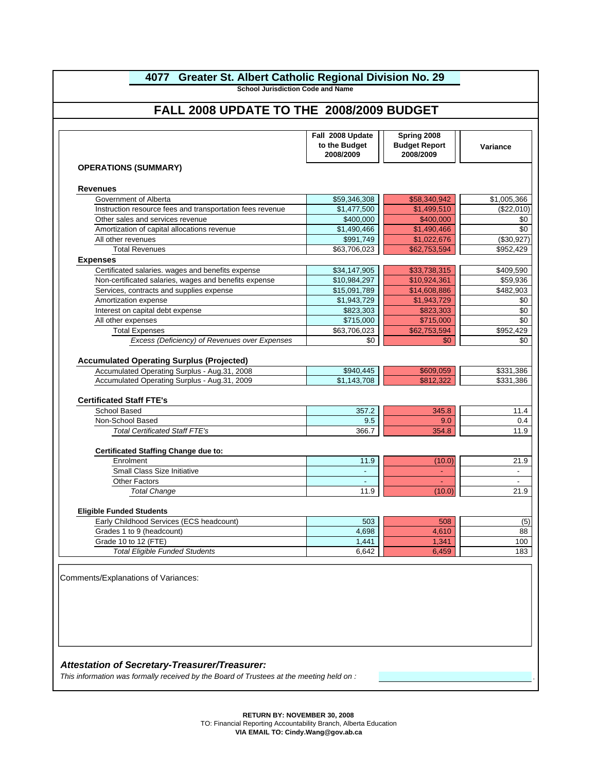# **4077 Greater St. Albert Catholic Regional Division No. 29**

**School Jurisdiction Code and Name** 

# **FALL 2008 UPDATE TO THE 2008/2009 BUDGET**

|                                                                                                  | Fall 2008 Update<br>to the Budget<br>2008/2009 | Spring 2008<br><b>Budget Report</b><br>2008/2009 | Variance    |
|--------------------------------------------------------------------------------------------------|------------------------------------------------|--------------------------------------------------|-------------|
| <b>OPERATIONS (SUMMARY)</b>                                                                      |                                                |                                                  |             |
| <b>Revenues</b>                                                                                  |                                                |                                                  |             |
| Government of Alberta                                                                            | \$59,346,308                                   | \$58,340,942                                     | \$1,005,366 |
| Instruction resource fees and transportation fees revenue                                        | \$1,477,500                                    | \$1,499,510                                      | (\$22,010)  |
| Other sales and services revenue                                                                 | \$400,000                                      | \$400,000                                        | \$0         |
| Amortization of capital allocations revenue                                                      | \$1,490,466                                    | \$1,490,466                                      | \$0         |
| All other revenues                                                                               | \$991,749                                      | \$1,022,676                                      | (\$30,927)  |
| <b>Total Revenues</b>                                                                            | \$63,706,023                                   | \$62,753,594                                     | \$952,429   |
| <b>Expenses</b>                                                                                  |                                                |                                                  |             |
| Certificated salaries. wages and benefits expense                                                | \$34,147,905                                   | \$33,738,315                                     | \$409,590   |
| Non-certificated salaries, wages and benefits expense                                            | \$10,984,297                                   | \$10,924,361                                     | \$59,936    |
| Services, contracts and supplies expense                                                         | \$15,091,789                                   | \$14,608,886                                     | \$482,903   |
| Amortization expense                                                                             | \$1,943,729                                    | \$1,943,729                                      |             |
| Interest on capital debt expense                                                                 | \$823,303                                      | \$823,303                                        |             |
| All other expenses                                                                               | \$715,000                                      | \$715,000                                        |             |
| <b>Total Expenses</b>                                                                            | \$63,706,023                                   | \$62,753,594                                     | \$952,429   |
| Excess (Deficiency) of Revenues over Expenses                                                    | \$0                                            | \$0                                              |             |
|                                                                                                  |                                                |                                                  |             |
| <b>Accumulated Operating Surplus (Projected)</b><br>Accumulated Operating Surplus - Aug.31, 2008 | \$940,445                                      | \$609,059                                        | \$331,386   |
| Accumulated Operating Surplus - Aug.31, 2009                                                     | \$1,143,708                                    | \$812,322                                        | \$331,386   |
| School Based<br>Non-School Based                                                                 | 357.2<br>9.5                                   | 345.8<br>9.0                                     | 11.4<br>0.4 |
| <b>Total Certificated Staff FTE's</b>                                                            | 366.7                                          | 354.8                                            | 11.9        |
| <b>Certificated Staffing Change due to:</b>                                                      |                                                |                                                  |             |
| Enrolment                                                                                        | 11.9                                           | (10.0)                                           | 21.9        |
| Small Class Size Initiative                                                                      |                                                |                                                  |             |
| <b>Other Factors</b>                                                                             |                                                |                                                  |             |
| <b>Total Change</b>                                                                              | 11.9                                           | (10.0)                                           | 21.9        |
| <b>Eligible Funded Students</b>                                                                  |                                                |                                                  |             |
| Early Childhood Services (ECS headcount)                                                         | 503                                            | 508                                              |             |
| Grades 1 to 9 (headcount)                                                                        | 4,698                                          | 4,610                                            |             |
| Grade 10 to 12 (FTE)                                                                             | 1,441                                          | 1,341                                            | 100         |
|                                                                                                  | 6,642                                          | 6,459                                            | 183         |

*This information was formally received by the Board of Trustees at the meeting held on :* .

**RETURN BY: NOVEMBER 30, 2008**

TO: Financial Reporting Accountability Branch, Alberta Education

**VIA EMAIL TO: Cindy.Wang@gov.ab.ca**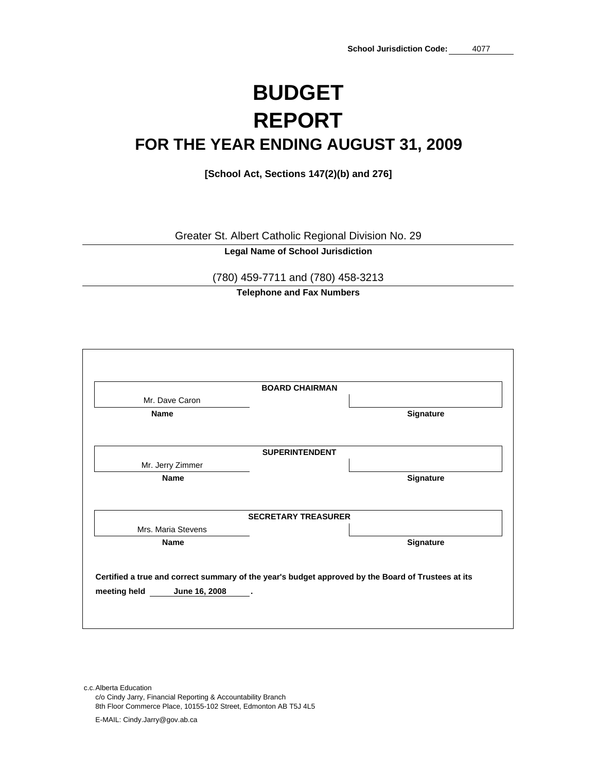# **BUDGET FOR THE YEAR ENDING AUGUST 31, 2009 REPORT**

**[School Act, Sections 147(2)(b) and 276]**

Greater St. Albert Catholic Regional Division No. 29

**Legal Name of School Jurisdiction**

(780) 459-7711 and (780) 458-3213

**Telephone and Fax Numbers**

| <b>BOARD CHAIRMAN</b>                                                                              |           |
|----------------------------------------------------------------------------------------------------|-----------|
| Mr. Dave Caron                                                                                     |           |
| <b>Name</b>                                                                                        | Signature |
| <b>SUPERINTENDENT</b>                                                                              |           |
| Mr. Jerry Zimmer                                                                                   |           |
| Name                                                                                               | Signature |
| <b>SECRETARY TREASURER</b>                                                                         |           |
| Mrs. Maria Stevens                                                                                 |           |
| <b>Name</b>                                                                                        | Signature |
| Certified a true and correct summary of the year's budget approved by the Board of Trustees at its |           |
| June 16, 2008<br>meeting held                                                                      |           |

c.c.Alberta Education c/o Cindy Jarry, Financial Reporting & Accountability Branch 8th Floor Commerce Place, 10155-102 Street, Edmonton AB T5J 4L5 E-MAIL: Cindy.Jarry@gov.ab.ca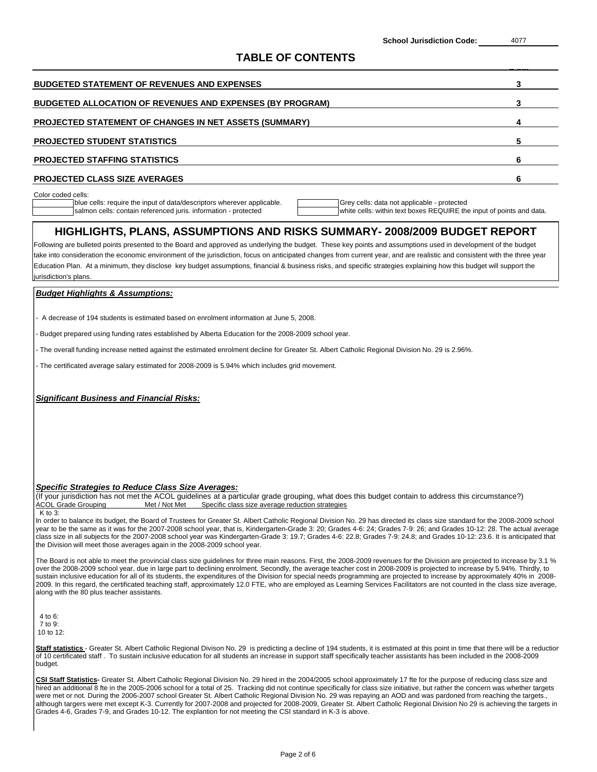| <b>BUDGETED STATEMENT OF REVENUES AND EXPENSES</b>               |  |
|------------------------------------------------------------------|--|
| <b>BUDGETED ALLOCATION OF REVENUES AND EXPENSES (BY PROGRAM)</b> |  |
| <b>PROJECTED STATEMENT OF CHANGES IN NET ASSETS (SUMMARY)</b>    |  |
| <b>PROJECTED STUDENT STATISTICS</b>                              |  |
| <b>PROJECTED STAFFING STATISTICS</b>                             |  |
| <b>PROJECTED CLASS SIZE AVERAGES</b>                             |  |
|                                                                  |  |

olor coded

blue cells: require the input of data/descriptors wherever applicable. Grey cells: data not applicable - protected salmon cells: contain referenced juris. information - protected white cells: within text boxes REQUIRE the input of points and data.

### **HIGHLIGHTS, PLANS, ASSUMPTIONS AND RISKS SUMMARY- 2008/2009 BUDGET REPORT**

Education Plan. At a minimum, they disclose key budget assumptions, financial & business risks, and specific strategies explaining how this budget will support the jurisdiction's plans. Following are bulleted points presented to the Board and approved as underlying the budget. These key points and assumptions used in development of the budget take into consideration the economic environment of the jurisdiction, focus on anticipated changes from current year, and are realistic and consistent with the three year

### *Budget Highlights & Assumptions:*

- A decrease of 194 students is estimated based on enrolment information at June 5, 2008.

- Budget prepared using funding rates established by Alberta Education for the 2008-2009 school year.

- The overall funding increase netted against the estimated enrolment decline for Greater St. Albert Catholic Regional Division No. 29 is 2.96%.

- The certificated average salary estimated for 2008-2009 is 5.94% which includes grid movement.

*Significant Business and Financial Risks:*

### *Specific Strategies to Reduce Class Size Averages:*

(If your jurisdiction has not met the ACOL guidelines at a particular grade grouping, what does this budget contain to address this circumstance?) ACOL Grade Grouping Met / Not Met Specific class size average reduction strategies  $K$  to  $3$ 

In order to balance its budget, the Board of Trustees for Greater St. Albert Catholic Regional Division No. 29 has directed its class size standard for the 2008-2009 school year to be the same as it was for the 2007-2008 school year, that is, Kindergarten-Grade 3: 20; Grades 4-6: 24; Grades 7-9: 26; and Grades 10-12: 28. The actual average class size in all subjects for the 2007-2008 school year was Kindergarten-Grade 3: 19.7; Grades 4-6: 22.8; Grades 7-9: 24.8; and Grades 10-12: 23.6. It is anticipated that the Division will meet those averages again in the 2008-2009 school year.

The Board is not able to meet the provincial class size guidelines for three main reasons. First, the 2008-2009 revenues for the Division are projected to increase by 3.1 % over the 2008-2009 school year, due in large part to declining enrolment. Secondly, the average teacher cost in 2008-2009 is projected to increase by 5.94%. Thirdly, to sustain inclusive education for all of its students, the expenditures of the Division for special needs programming are projected to increase by approximately 40% in 2008-2009. In this regard, the certificated teaching staff, approximately 12.0 FTE, who are employed as Learning Services Facilitators are not counted in the class size average, along with the 80 plus teacher assistants.

 $4$  to  $6$ 7 to 9: 10 to 12:

Staff statistics - Greater St. Albert Catholic Regional Divison No. 29 is predicting a decline of 194 students, it is estimated at this point in time that there will be a reduction of 10 certificated staff . To sustain inclusive education for all students an increase in support staff specifically teacher assistants has been included in the 2008-2009 budget.

**CSI Staff Statistics-** Greater St. Albert Catholic Regional Division No. 29 hired in the 2004/2005 school approximately 17 fte for the purpose of reducing class size and hired an additional 8 fte in the 2005-2006 school for a total of 25. Tracking did not continue specifically for class size initiative, but rather the concern was whether targets were met or not. During the 2006-2007 school Greater St. Albert Catholic Regional Division No. 29 was repaying an AOD and was pardoned from reaching the targets., although targers were met except K-3. Currently for 2007-2008 and projected for 2008-2009, Greater St. Albert Catholic Regional Division No 29 is achieving the targets in Grades 4-6, Grades 7-9, and Grades 10-12. The explantion for not meeting the CSI standard in K-3 is above.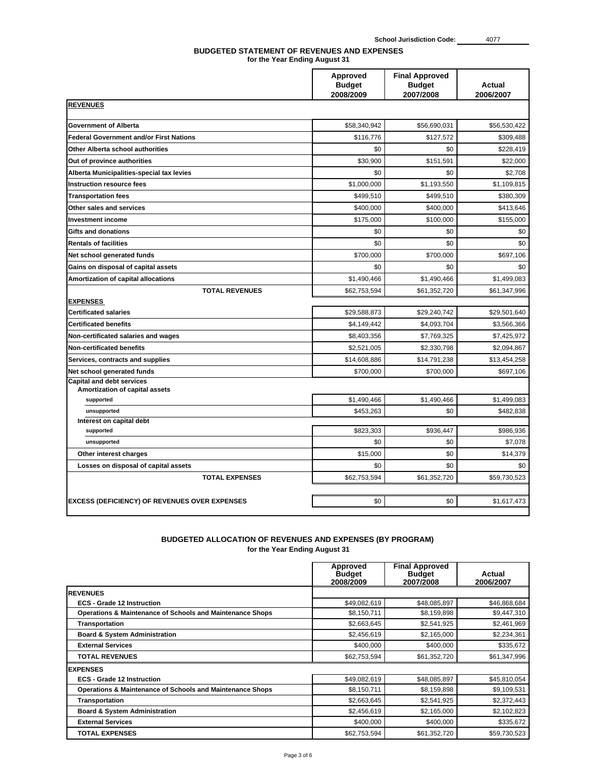#### **for the Year Ending August 31 BUDGETED STATEMENT OF REVENUES AND EXPENSES**

|                                                                    | Approved<br><b>Budget</b><br>2008/2009 | <b>Final Approved</b><br><b>Budget</b><br>2007/2008 | <b>Actual</b><br>2006/2007 |  |
|--------------------------------------------------------------------|----------------------------------------|-----------------------------------------------------|----------------------------|--|
| <b>REVENUES</b>                                                    |                                        |                                                     |                            |  |
| <b>Government of Alberta</b>                                       | \$58,340,942                           | \$56,690,031                                        | \$56,530,422               |  |
| <b>Federal Government and/or First Nations</b>                     | \$116,776                              | \$127,572                                           | \$309,488                  |  |
| Other Alberta school authorities                                   | \$0                                    | \$0                                                 | \$228,419                  |  |
| Out of province authorities                                        | \$30,900                               | \$151,591                                           | \$22,000                   |  |
| Alberta Municipalities-special tax levies                          | \$0                                    | \$0                                                 | \$2,708                    |  |
| <b>Instruction resource fees</b>                                   | \$1,000,000                            | \$1,193,550                                         | \$1,109,815                |  |
| <b>Transportation fees</b>                                         | \$499,510                              | \$499,510                                           | \$380,309                  |  |
| Other sales and services                                           | \$400,000                              | \$400,000                                           | \$413,646                  |  |
| <b>Investment income</b>                                           | \$175,000                              | \$100,000                                           | \$155,000                  |  |
| <b>Gifts and donations</b>                                         | \$0                                    | \$0                                                 | \$0                        |  |
| <b>Rentals of facilities</b>                                       | \$0                                    | \$0                                                 | \$0                        |  |
| Net school generated funds                                         | \$700,000                              | \$700,000                                           | \$697,106                  |  |
| Gains on disposal of capital assets                                | \$0                                    | \$0                                                 | \$0                        |  |
| Amortization of capital allocations                                | \$1,490,466                            | \$1,490,466                                         | \$1,499,083                |  |
| <b>TOTAL REVENUES</b>                                              | \$62,753,594                           | \$61,352,720                                        | \$61,347,996               |  |
| <b>EXPENSES</b>                                                    |                                        |                                                     |                            |  |
| <b>Certificated salaries</b>                                       | \$29,588,873                           | \$29,240,742                                        | \$29,501,640               |  |
| <b>Certificated benefits</b>                                       | \$4,149,442                            | \$4.093.704                                         | \$3,566,366                |  |
| Non-certificated salaries and wages                                | \$8,403,356                            | \$7,769,325                                         | \$7,425,972                |  |
| <b>Non-certificated benefits</b>                                   | \$2,521,005                            | \$2.330.798                                         | \$2,094,867                |  |
| Services, contracts and supplies                                   | \$14,608,886                           | \$14,791,238                                        | \$13,454,258               |  |
| Net school generated funds                                         | \$700,000                              | \$700,000                                           | \$697,106                  |  |
| <b>Capital and debt services</b><br>Amortization of capital assets |                                        |                                                     |                            |  |
| supported                                                          | \$1,490,466                            | \$1,490,466                                         | \$1,499,083                |  |
| unsupported                                                        | \$453,263                              | \$0                                                 | \$482,838                  |  |
| Interest on capital debt                                           |                                        |                                                     |                            |  |
| supported                                                          | \$823,303                              | \$936.447                                           | \$986.936                  |  |
| unsupported                                                        | \$0                                    | \$0                                                 | \$7,078                    |  |
| Other interest charges                                             | \$15,000                               | \$0                                                 | \$14,379                   |  |
| Losses on disposal of capital assets                               | \$0                                    | \$0                                                 | \$0                        |  |
| <b>TOTAL EXPENSES</b>                                              | \$62,753,594                           | \$61,352,720                                        | \$59,730,523               |  |
|                                                                    |                                        |                                                     |                            |  |
| <b>EXCESS (DEFICIENCY) OF REVENUES OVER EXPENSES</b>               | \$0                                    | \$0                                                 | \$1,617,473                |  |

# **BUDGETED ALLOCATION OF REVENUES AND EXPENSES (BY PROGRAM)**

|                                                                      | Approved<br><b>Budget</b><br>2008/2009 | <b>Final Approved</b><br><b>Budget</b><br>2007/2008 | Actual<br>2006/2007 |
|----------------------------------------------------------------------|----------------------------------------|-----------------------------------------------------|---------------------|
| <b>REVENUES</b>                                                      |                                        |                                                     |                     |
| <b>ECS</b> - Grade 12 Instruction                                    | \$49,082,619                           | \$48,085,897                                        | \$46,868,684        |
| <b>Operations &amp; Maintenance of Schools and Maintenance Shops</b> | \$8,150,711                            | \$8,159,898                                         | \$9,447,310         |
| <b>Transportation</b>                                                | \$2,663,645                            | \$2,541,925                                         | \$2,461,969         |
| <b>Board &amp; System Administration</b>                             | \$2,456,619                            | \$2,165,000                                         | \$2,234,361         |
| <b>External Services</b>                                             | \$400,000                              | \$400,000                                           | \$335,672           |
| <b>TOTAL REVENUES</b>                                                | \$62,753,594                           | \$61,352,720                                        | \$61,347,996        |
| <b>EXPENSES</b>                                                      |                                        |                                                     |                     |
| <b>ECS</b> - Grade 12 Instruction                                    | \$49,082,619                           | \$48,085,897                                        | \$45,810,054        |
| <b>Operations &amp; Maintenance of Schools and Maintenance Shops</b> | \$8,150,711                            | \$8,159,898                                         | \$9,109,531         |
| <b>Transportation</b>                                                | \$2,663,645                            | \$2,541,925                                         | \$2,372,443         |
| <b>Board &amp; System Administration</b>                             | \$2,456,619                            | \$2,165,000                                         | \$2,102,823         |
| <b>External Services</b>                                             | \$400,000                              | \$400,000                                           | \$335,672           |
| <b>TOTAL EXPENSES</b>                                                | \$62,753,594                           | \$61,352,720                                        | \$59,730,523        |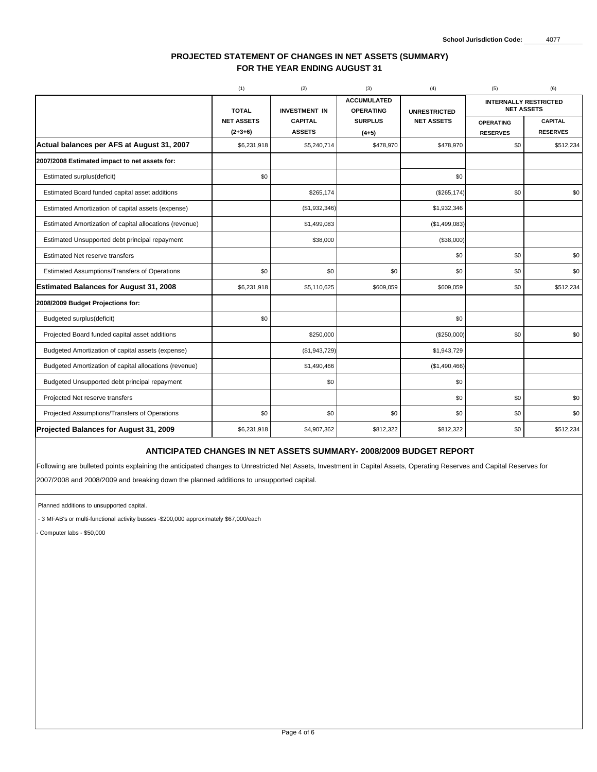### **PROJECTED STATEMENT OF CHANGES IN NET ASSETS (SUMMARY) FOR THE YEAR ENDING AUGUST 31**

|                                                         | (1)                            | (2)                             | (3)                                    | (4)                 | (5)                                               | (6)                               |  |
|---------------------------------------------------------|--------------------------------|---------------------------------|----------------------------------------|---------------------|---------------------------------------------------|-----------------------------------|--|
|                                                         | <b>TOTAL</b>                   | <b>INVESTMENT IN</b>            | <b>ACCUMULATED</b><br><b>OPERATING</b> | <b>UNRESTRICTED</b> | <b>INTERNALLY RESTRICTED</b><br><b>NET ASSETS</b> |                                   |  |
|                                                         | <b>NET ASSETS</b><br>$(2+3+6)$ | <b>CAPITAL</b><br><b>ASSETS</b> | <b>SURPLUS</b><br>$(4+5)$              | <b>NET ASSETS</b>   | <b>OPERATING</b><br><b>RESERVES</b>               | <b>CAPITAL</b><br><b>RESERVES</b> |  |
| Actual balances per AFS at August 31, 2007              | \$6,231,918                    | \$5,240,714                     | \$478,970                              | \$478,970           | \$0                                               | \$512,234                         |  |
| 2007/2008 Estimated impact to net assets for:           |                                |                                 |                                        |                     |                                                   |                                   |  |
| Estimated surplus(deficit)                              | \$0                            |                                 |                                        | \$0                 |                                                   |                                   |  |
| Estimated Board funded capital asset additions          |                                | \$265,174                       |                                        | (\$265, 174)        | \$0                                               | \$0                               |  |
| Estimated Amortization of capital assets (expense)      |                                | (\$1,932,346)                   |                                        | \$1,932,346         |                                                   |                                   |  |
| Estimated Amortization of capital allocations (revenue) |                                | \$1,499,083                     |                                        | (\$1,499,083)       |                                                   |                                   |  |
| Estimated Unsupported debt principal repayment          |                                | \$38,000                        |                                        | (\$38,000)          |                                                   |                                   |  |
| Estimated Net reserve transfers                         |                                |                                 |                                        | \$0                 | \$0                                               | \$0                               |  |
| Estimated Assumptions/Transfers of Operations           | \$0                            | \$0                             | \$0                                    | \$0                 | \$0                                               | \$0                               |  |
| <b>Estimated Balances for August 31, 2008</b>           | \$6,231,918                    | \$5,110,625                     | \$609,059                              | \$609,059           | \$0                                               | \$512,234                         |  |
| 2008/2009 Budget Projections for:                       |                                |                                 |                                        |                     |                                                   |                                   |  |
| Budgeted surplus(deficit)                               | \$0                            |                                 |                                        | \$0                 |                                                   |                                   |  |
| Projected Board funded capital asset additions          |                                | \$250,000                       |                                        | (\$250,000)         | \$0                                               | \$0                               |  |
| Budgeted Amortization of capital assets (expense)       |                                | (\$1,943,729)                   |                                        | \$1,943,729         |                                                   |                                   |  |
| Budgeted Amortization of capital allocations (revenue)  |                                | \$1,490,466                     |                                        | (\$1,490,466)       |                                                   |                                   |  |
| Budgeted Unsupported debt principal repayment           |                                | \$0                             |                                        | \$0                 |                                                   |                                   |  |
| Projected Net reserve transfers                         |                                |                                 |                                        | \$0                 | \$0                                               | \$0                               |  |
| Projected Assumptions/Transfers of Operations           | \$0                            | \$0                             | \$0                                    | \$0                 | \$0                                               | \$0                               |  |
| Projected Balances for August 31, 2009                  | \$6,231,918                    | \$4,907,362                     | \$812,322                              | \$812,322           | \$0                                               | \$512,234                         |  |

### **ANTICIPATED CHANGES IN NET ASSETS SUMMARY- 2008/2009 BUDGET REPORT**

Following are bulleted points explaining the anticipated changes to Unrestricted Net Assets, Investment in Capital Assets, Operating Reserves and Capital Reserves for

2007/2008 and 2008/2009 and breaking down the planned additions to unsupported capital.

Planned additions to unsupported capital.

- 3 MFAB's or multi-functional activity busses -\$200,000 approximately \$67,000/each

- Computer labs - \$50,000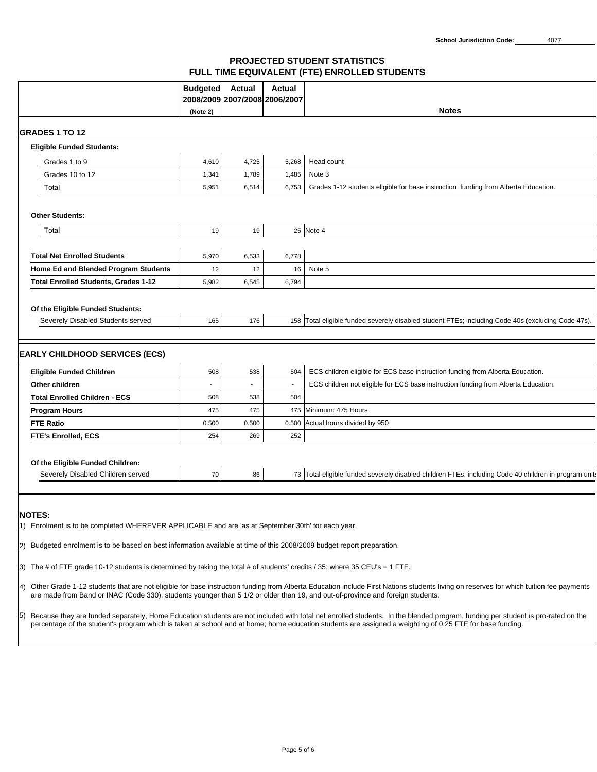### **PROJECTED STUDENT STATISTICS FULL TIME EQUIVALENT (FTE) ENROLLED STUDENTS**

|                                                                                                                                                                                                                                                                                                                                                                                                                                                                                                                                                                                                                                                                                                            | <b>Budgeted</b><br>(Note 2) | Actual<br>2008/2009 2007/2008 2006/2007 | Actual | <b>Notes</b>                                                                                          |  |  |
|------------------------------------------------------------------------------------------------------------------------------------------------------------------------------------------------------------------------------------------------------------------------------------------------------------------------------------------------------------------------------------------------------------------------------------------------------------------------------------------------------------------------------------------------------------------------------------------------------------------------------------------------------------------------------------------------------------|-----------------------------|-----------------------------------------|--------|-------------------------------------------------------------------------------------------------------|--|--|
|                                                                                                                                                                                                                                                                                                                                                                                                                                                                                                                                                                                                                                                                                                            |                             |                                         |        |                                                                                                       |  |  |
| <b>IGRADES 1 TO 12</b>                                                                                                                                                                                                                                                                                                                                                                                                                                                                                                                                                                                                                                                                                     |                             |                                         |        |                                                                                                       |  |  |
| <b>Eligible Funded Students:</b>                                                                                                                                                                                                                                                                                                                                                                                                                                                                                                                                                                                                                                                                           |                             |                                         |        |                                                                                                       |  |  |
| Grades 1 to 9                                                                                                                                                                                                                                                                                                                                                                                                                                                                                                                                                                                                                                                                                              | 4,610                       | 4,725                                   | 5,268  | Head count                                                                                            |  |  |
| Grades 10 to 12                                                                                                                                                                                                                                                                                                                                                                                                                                                                                                                                                                                                                                                                                            | 1,341                       | 1,789                                   | 1,485  | Note 3                                                                                                |  |  |
| Total                                                                                                                                                                                                                                                                                                                                                                                                                                                                                                                                                                                                                                                                                                      | 5,951                       | 6,514                                   | 6,753  | Grades 1-12 students eligible for base instruction funding from Alberta Education.                    |  |  |
| <b>Other Students:</b>                                                                                                                                                                                                                                                                                                                                                                                                                                                                                                                                                                                                                                                                                     |                             |                                         |        |                                                                                                       |  |  |
| Total                                                                                                                                                                                                                                                                                                                                                                                                                                                                                                                                                                                                                                                                                                      | 19                          | 19                                      |        | 25 Note 4                                                                                             |  |  |
|                                                                                                                                                                                                                                                                                                                                                                                                                                                                                                                                                                                                                                                                                                            |                             |                                         |        |                                                                                                       |  |  |
| <b>Total Net Enrolled Students</b>                                                                                                                                                                                                                                                                                                                                                                                                                                                                                                                                                                                                                                                                         | 5,970                       | 6,533                                   | 6,778  |                                                                                                       |  |  |
| Home Ed and Blended Program Students                                                                                                                                                                                                                                                                                                                                                                                                                                                                                                                                                                                                                                                                       | 12                          | 12                                      | 16     | Note 5                                                                                                |  |  |
| <b>Total Enrolled Students, Grades 1-12</b>                                                                                                                                                                                                                                                                                                                                                                                                                                                                                                                                                                                                                                                                | 5,982                       | 6,545                                   | 6,794  |                                                                                                       |  |  |
| Of the Eligible Funded Students:                                                                                                                                                                                                                                                                                                                                                                                                                                                                                                                                                                                                                                                                           |                             |                                         |        |                                                                                                       |  |  |
| Severely Disabled Students served                                                                                                                                                                                                                                                                                                                                                                                                                                                                                                                                                                                                                                                                          | 165                         | 176                                     |        | 158 Total eligible funded severely disabled student FTEs; including Code 40s (excluding Code 47s).    |  |  |
|                                                                                                                                                                                                                                                                                                                                                                                                                                                                                                                                                                                                                                                                                                            |                             |                                         |        |                                                                                                       |  |  |
| <b>EARLY CHILDHOOD SERVICES (ECS)</b>                                                                                                                                                                                                                                                                                                                                                                                                                                                                                                                                                                                                                                                                      |                             |                                         |        |                                                                                                       |  |  |
| <b>Eligible Funded Children</b>                                                                                                                                                                                                                                                                                                                                                                                                                                                                                                                                                                                                                                                                            | 508                         | 538                                     | 504    | ECS children eligible for ECS base instruction funding from Alberta Education.                        |  |  |
| Other children                                                                                                                                                                                                                                                                                                                                                                                                                                                                                                                                                                                                                                                                                             |                             |                                         |        | ECS children not eligible for ECS base instruction funding from Alberta Education.                    |  |  |
| <b>Total Enrolled Children - ECS</b>                                                                                                                                                                                                                                                                                                                                                                                                                                                                                                                                                                                                                                                                       | 508                         | 538                                     | 504    |                                                                                                       |  |  |
| <b>Program Hours</b>                                                                                                                                                                                                                                                                                                                                                                                                                                                                                                                                                                                                                                                                                       | 475                         | 475                                     |        | 475 Minimum: 475 Hours                                                                                |  |  |
| <b>FTE Ratio</b>                                                                                                                                                                                                                                                                                                                                                                                                                                                                                                                                                                                                                                                                                           | 0.500                       | 0.500                                   |        | 0.500 Actual hours divided by 950                                                                     |  |  |
| <b>FTE's Enrolled, ECS</b>                                                                                                                                                                                                                                                                                                                                                                                                                                                                                                                                                                                                                                                                                 | 254                         | 269                                     | 252    |                                                                                                       |  |  |
| Of the Eligible Funded Children:                                                                                                                                                                                                                                                                                                                                                                                                                                                                                                                                                                                                                                                                           |                             |                                         |        |                                                                                                       |  |  |
| Severely Disabled Children served                                                                                                                                                                                                                                                                                                                                                                                                                                                                                                                                                                                                                                                                          | 70                          | 86                                      |        | 73 Total eligible funded severely disabled children FTEs, including Code 40 children in program units |  |  |
|                                                                                                                                                                                                                                                                                                                                                                                                                                                                                                                                                                                                                                                                                                            |                             |                                         |        |                                                                                                       |  |  |
| <b>NOTES</b><br>1) Enrolment is to be completed WHEREVER APPLICABLE and are 'as at September 30th' for each year.<br>[2) Budgeted enrolment is to be based on best information available at time of this 2008/2009 budget report preparation.<br>[3) The # of FTE grade 10-12 students is determined by taking the total # of students' credits / 35; where 35 CEU's = 1 FTE.<br>4) Other Grade 1-12 students that are not eligible for base instruction funding from Alberta Education include First Nations students living on reserves for which tuition fee payments<br>are made from Band or INAC (Code 330), students younger than 5 1/2 or older than 19, and out-of-province and foreign students. |                             |                                         |        |                                                                                                       |  |  |
| Because they are funded separately, Home Education students are not included with total net enrolled students. In the blended program, funding per student is pro-rated on the<br>I5)<br>percentage of the student's program which is taken at school and at home; home education students are assigned a weighting of 0.25 FTE for base funding.                                                                                                                                                                                                                                                                                                                                                          |                             |                                         |        |                                                                                                       |  |  |